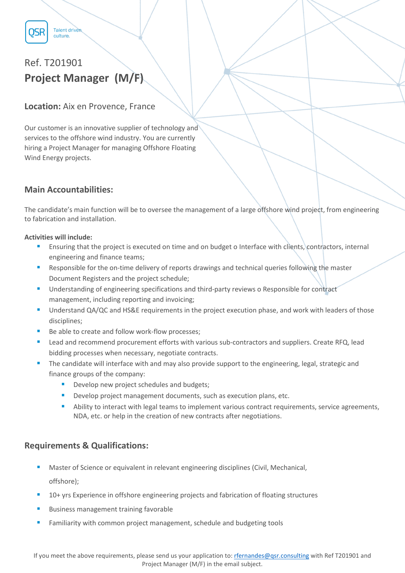

**Talent driven** culture.

# Ref. T201901 **Project Manager (M/F)**

## **Location:** Aix en Provence, France

Our customer is an innovative supplier of technology and services to the offshore wind industry. You are currently hiring a Project Manager for managing Offshore Floating Wind Energy projects.

## **Main Accountabilities:**

The candidate's main function will be to oversee the management of a large offshore wind project, from engineering to fabrication and installation.

#### **Activities will include:**

- Ensuring that the project is executed on time and on budget o Interface with clients, contractors, internal engineering and finance teams;
- **Responsible for the on-time delivery of reports drawings and technical queries following the master** Document Registers and the project schedule;
- Understanding of engineering specifications and third-party reviews o Responsible for contract management, including reporting and invoicing;
- **Understand QA/QC and HS&E requirements in the project execution phase, and work with leaders of those** disciplines;
- Be able to create and follow work-flow processes;
- Lead and recommend procurement efforts with various sub-contractors and suppliers. Create RFQ, lead bidding processes when necessary, negotiate contracts.
- The candidate will interface with and may also provide support to the engineering, legal, strategic and finance groups of the company:
	- Develop new project schedules and budgets;
	- **Develop project management documents, such as execution plans, etc.**
	- Ability to interact with legal teams to implement various contract requirements, service agreements, NDA, etc. or help in the creation of new contracts after negotiations.

## **Requirements & Qualifications:**

- Master of Science or equivalent in relevant engineering disciplines (Civil, Mechanical, offshore);
- 10+ yrs Experience in offshore engineering projects and fabrication of floating structures
- Business management training favorable
- Familiarity with common project management, schedule and budgeting tools